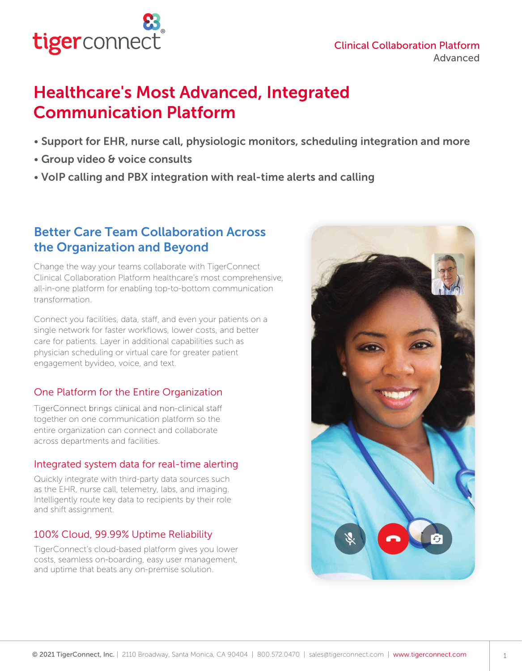

### Clinical Collaboration Platform Advanced

# Healthcare's Most Advanced, Integrated Communication Platform

- Support for EHR, nurse call, physiologic monitors, scheduling integration and more
- Group video & voice consults
- VoIP calling and PBX integration with real-time alerts and calling

## Better Care Team Collaboration Across the Organization and Beyond

Change the way your teams collaborate with TigerConnect Clinical Collaboration Platform healthcare's most comprehensive, all-in-one platform for enabling top-to-bottom communication transformation.

Connect you facilities, data, staff, and even your patients on a single network for faster workflows, lower costs, and better care for patients. Layer in additional capabilities such as physician scheduling or virtual care for greater patient engagement byvideo, voice, and text.

## One Platform for the Entire Organization

TigerConnect brings clinical and non-clinical staff together on one communication platform so the entire organization can connect and collaborate across departments and facilities.

### Integrated system data for real-time alerting

Quickly integrate with third-party data sources such as the EHR, nurse call, telemetry, labs, and imaging. Intelligently route key data to recipients by their role and shift assignment.

## 100% Cloud, 99.99% Uptime Reliability

TigerConnect's cloud-based platform gives you lower costs, seamless on-boarding, easy user management, and uptime that beats any on-premise solution.